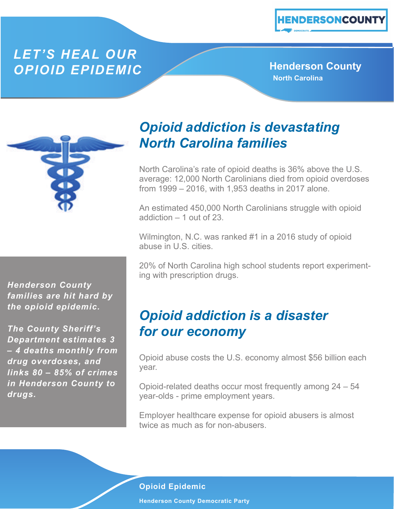#### *LET'S HEAL OUR*  **OPIOID EPIDEMIC** And **Henderson County**

**North Carolina**



*Henderson County families are hit hard by the opioid epidemic.* 

*The County Sheriff's Department estimates 3 – 4 deaths monthly from drug overdoses, and links 80 – 85% of crimes in Henderson County to drugs.*

# *Opioid addiction is devastating North Carolina families*

North Carolina's rate of opioid deaths is 36% above the U.S. average: 12,000 North Carolinians died from opioid overdoses from 1999 – 2016, with 1,953 deaths in 2017 alone.

An estimated 450,000 North Carolinians struggle with opioid addiction – 1 out of 23.

Wilmington, N.C. was ranked #1 in a 2016 study of opioid abuse in U.S. cities.

20% of North Carolina high school students report experimenting with prescription drugs.

### *Opioid addiction is a disaster for our economy*

Opioid abuse costs the U.S. economy almost \$56 billion each year.

Opioid-related deaths occur most frequently among 24 – 54 year-olds - prime employment years.

Employer healthcare expense for opioid abusers is almost twice as much as for non-abusers.

#### **Opioid Epidemic**

**Henderson County Democratic Party**